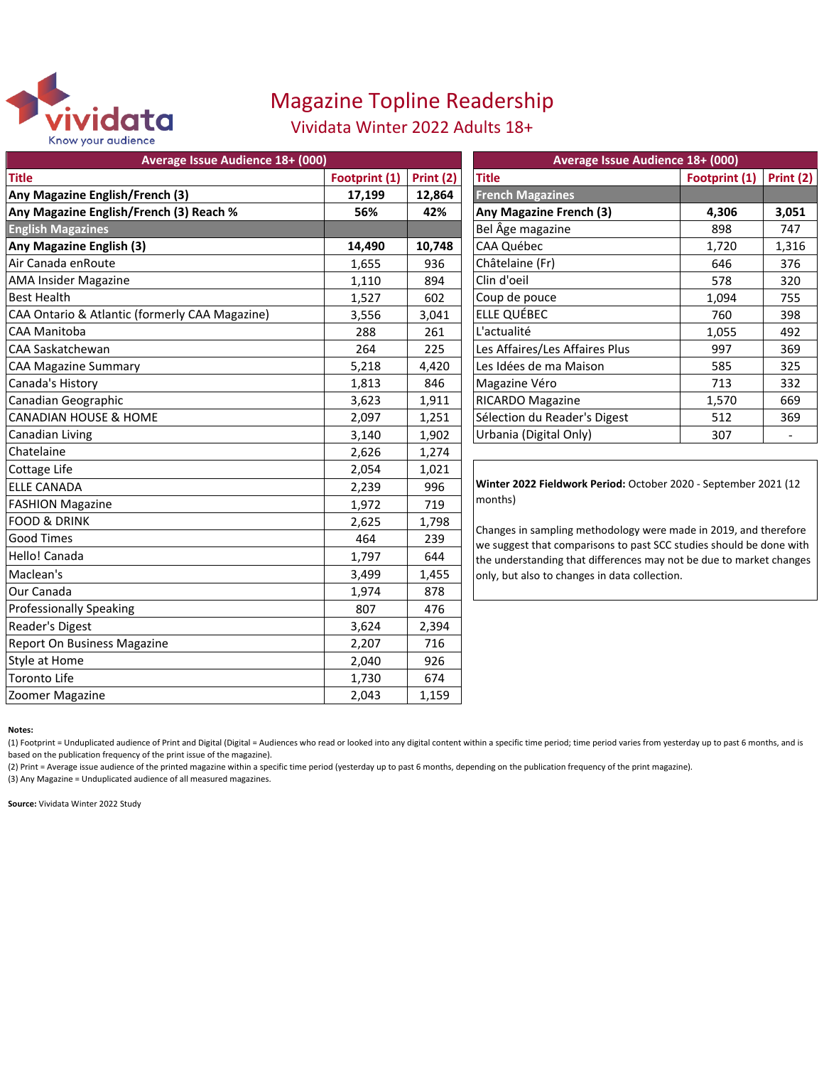

# Magazine Topline Readership

### Vividata Winter 2022 Adults 18+

| Average Issue Audience 18+ (000)               |               |           | Average Issue Audience 18+ (000)                                                                                                                                                                                                                                |               |           |
|------------------------------------------------|---------------|-----------|-----------------------------------------------------------------------------------------------------------------------------------------------------------------------------------------------------------------------------------------------------------------|---------------|-----------|
| <b>Title</b>                                   | Footprint (1) | Print (2) | <b>Title</b>                                                                                                                                                                                                                                                    | Footprint (1) | Print (2) |
| Any Magazine English/French (3)                | 17,199        | 12,864    | <b>French Magazines</b>                                                                                                                                                                                                                                         |               |           |
| Any Magazine English/French (3) Reach %        | 56%           | 42%       | Any Magazine French (3)                                                                                                                                                                                                                                         | 4,306         | 3,051     |
| <b>English Magazines</b>                       |               |           | Bel Âge magazine                                                                                                                                                                                                                                                | 898           | 747       |
| Any Magazine English (3)                       | 14,490        | 10,748    | CAA Québec                                                                                                                                                                                                                                                      | 1,720         | 1,316     |
| Air Canada enRoute                             | 1,655         | 936       | Châtelaine (Fr)                                                                                                                                                                                                                                                 | 646           | 376       |
| <b>AMA Insider Magazine</b>                    | 1,110         | 894       | Clin d'oeil                                                                                                                                                                                                                                                     | 578           | 320       |
| <b>Best Health</b>                             | 1,527         | 602       | Coup de pouce                                                                                                                                                                                                                                                   | 1,094         | 755       |
| CAA Ontario & Atlantic (formerly CAA Magazine) | 3,556         | 3,041     | ELLE QUÉBEC                                                                                                                                                                                                                                                     | 760           | 398       |
| <b>CAA Manitoba</b>                            | 288           | 261       | L'actualité                                                                                                                                                                                                                                                     | 1,055         | 492       |
| <b>CAA Saskatchewan</b>                        | 264           | 225       | Les Affaires/Les Affaires Plus                                                                                                                                                                                                                                  | 997           | 369       |
| <b>CAA Magazine Summary</b>                    | 5,218         | 4,420     | Les Idées de ma Maison                                                                                                                                                                                                                                          | 585           | 325       |
| Canada's History                               | 1,813         | 846       | Magazine Véro                                                                                                                                                                                                                                                   | 713           | 332       |
| Canadian Geographic                            | 3,623         | 1,911     | RICARDO Magazine                                                                                                                                                                                                                                                | 1,570         | 669       |
| <b>CANADIAN HOUSE &amp; HOME</b>               | 2,097         | 1,251     | Sélection du Reader's Digest                                                                                                                                                                                                                                    | 512           | 369       |
| Canadian Living                                | 3,140         | 1,902     | Urbania (Digital Only)                                                                                                                                                                                                                                          | 307           |           |
| Chatelaine                                     | 2,626         | 1,274     |                                                                                                                                                                                                                                                                 |               |           |
| Cottage Life                                   | 2,054         | 1,021     |                                                                                                                                                                                                                                                                 |               |           |
| <b>ELLE CANADA</b>                             | 2,239         | 996       | Winter 2022 Fieldwork Period: October 2020 - September 2021 (12                                                                                                                                                                                                 |               |           |
| <b>FASHION Magazine</b>                        | 1,972         | 719       | months)                                                                                                                                                                                                                                                         |               |           |
| <b>FOOD &amp; DRINK</b>                        | 2,625         | 1,798     |                                                                                                                                                                                                                                                                 |               |           |
| <b>Good Times</b>                              | 464           | 239       | Changes in sampling methodology were made in 2019, and therefore<br>we suggest that comparisons to past SCC studies should be done with<br>the understanding that differences may not be due to market changes<br>only, but also to changes in data collection. |               |           |
| Hello! Canada                                  | 1,797         | 644       |                                                                                                                                                                                                                                                                 |               |           |
| Maclean's                                      | 3,499         | 1,455     |                                                                                                                                                                                                                                                                 |               |           |
| Our Canada                                     | 1,974         | 878       |                                                                                                                                                                                                                                                                 |               |           |
| <b>Professionally Speaking</b>                 | 807           | 476       |                                                                                                                                                                                                                                                                 |               |           |
| Reader's Digest                                | 3,624         | 2,394     |                                                                                                                                                                                                                                                                 |               |           |
| <b>Report On Business Magazine</b>             | 2,207         | 716       |                                                                                                                                                                                                                                                                 |               |           |
| Style at Home                                  | 2,040         | 926       |                                                                                                                                                                                                                                                                 |               |           |
| Toronto Life                                   | 1,730         | 674       |                                                                                                                                                                                                                                                                 |               |           |
| Zoomer Magazine                                | 2,043         | 1,159     |                                                                                                                                                                                                                                                                 |               |           |

#### **Notes:**

(1) Footprint = Unduplicated audience of Print and Digital (Digital = Audiences who read or looked into any digital content within a specific time period; time period varies from yesterday up to past 6 months, and is based on the publication frequency of the print issue of the magazine).

(2) Print = Average issue audience of the printed magazine within a specific time period (yesterday up to past 6 months, depending on the publication frequency of the print magazine).

(3) Any Magazine = Unduplicated audience of all measured magazines.

**Source:** Vividata Winter 2022 Study